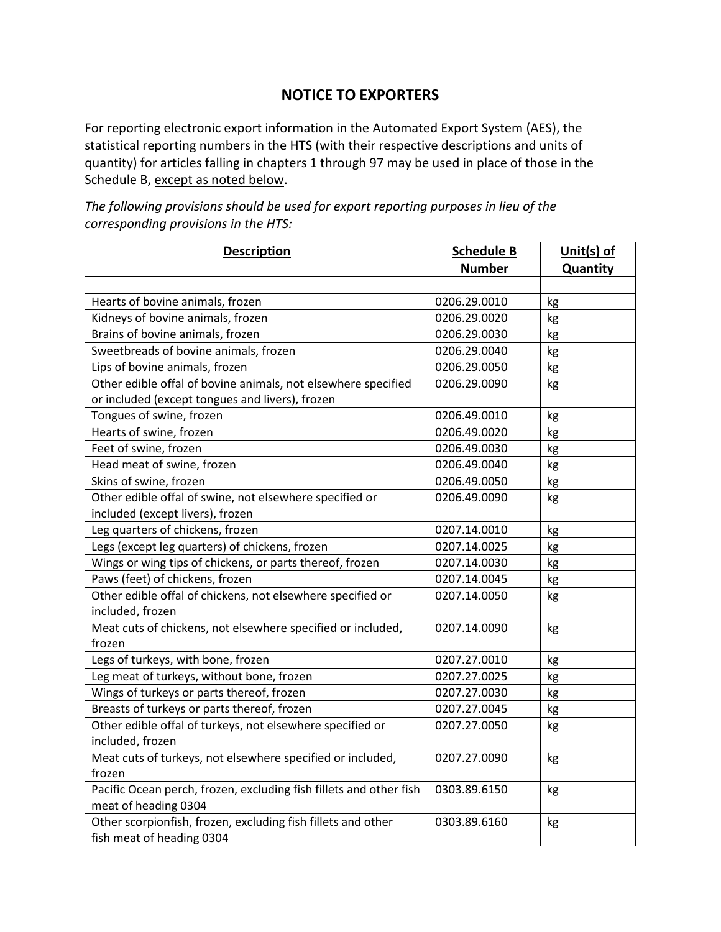## **NOTICE TO EXPORTERS**

For reporting electronic export information in the Automated Export System (AES), the statistical reporting numbers in the HTS (with their respective descriptions and units of quantity) for articles falling in chapters 1 through 97 may be used in place of those in the Schedule B, except as noted below.

**Description Schedule B Number Unit(s) of Quantity** Hearts of bovine animals, frozen 1986 1998 and 20206.29.0010 kg Kidneys of bovine animals, frozen **1988 by COLOGE 1206.29.0020** kg Brains of bovine animals, frozen **12000 by COLOGE 120001** kg Sweetbreads of bovine animals, frozen 1988 and 10206.29.0040 kg Lips of bovine animals, frozen **12000** kg **12000** kg **b**  $\log$ Other edible offal of bovine animals, not elsewhere specified or included (except tongues and livers), frozen 0206.29.0090 kg Tongues of swine, frozen 0206.49.0010 kg Hearts of swine, frozen 1988 and 1992 and 1992 and 1993 and 1992 of the 1993 and 1993 and 1993 and 1993 and 19 Feet of swine, frozen and the state of swine, frozen and the state of  $\log$ Head meat of swine, frozen 1988 and 1992 and 1992 of the USD of the USD of the USD of the USD of the USD of the U Skins of swine, frozen **by the same of the state of swine, frozen** by the state of  $\log$ Other edible offal of swine, not elsewhere specified or included (except livers), frozen 0206.49.0090 kg Leg quarters of chickens, frozen **1200** kg in the local control of the local control of the local control of the local control of the local control of the local control of the local control of the local control of the loca Legs (except leg quarters) of chickens, frozen 1988 and 10207.14.0025 kg Wings or wing tips of chickens, or parts thereof, frozen  $\vert$  0207.14.0030 kg Paws (feet) of chickens, frozen **by a controller of the COV** of chickens, frozen **by a controller of the COV** of the COV of the R Other edible offal of chickens, not elsewhere specified or included, frozen 0207.14.0050 kg Meat cuts of chickens, not elsewhere specified or included, frozen 0207.14.0090 kg Legs of turkeys, with bone, frozen **12007.27.0010** kg Leg meat of turkeys, without bone, frozen 1988 and 10207.27.0025 kg Wings of turkeys or parts thereof, frozen 1988 and 10207.27.0030 kg Breasts of turkeys or parts thereof, frozen 1988 control 10207.27.0045 kg Other edible offal of turkeys, not elsewhere specified or included, frozen 0207.27.0050 kg Meat cuts of turkeys, not elsewhere specified or included, frozen 0207.27.0090 kg Pacific Ocean perch, frozen, excluding fish fillets and other fish meat of heading 0304 0303.89.6150 | kg Other scorpionfish, frozen, excluding fish fillets and other fish meat of heading 0304 0303.89.6160 kg

*The following provisions should be used for export reporting purposes in lieu of the corresponding provisions in the HTS:*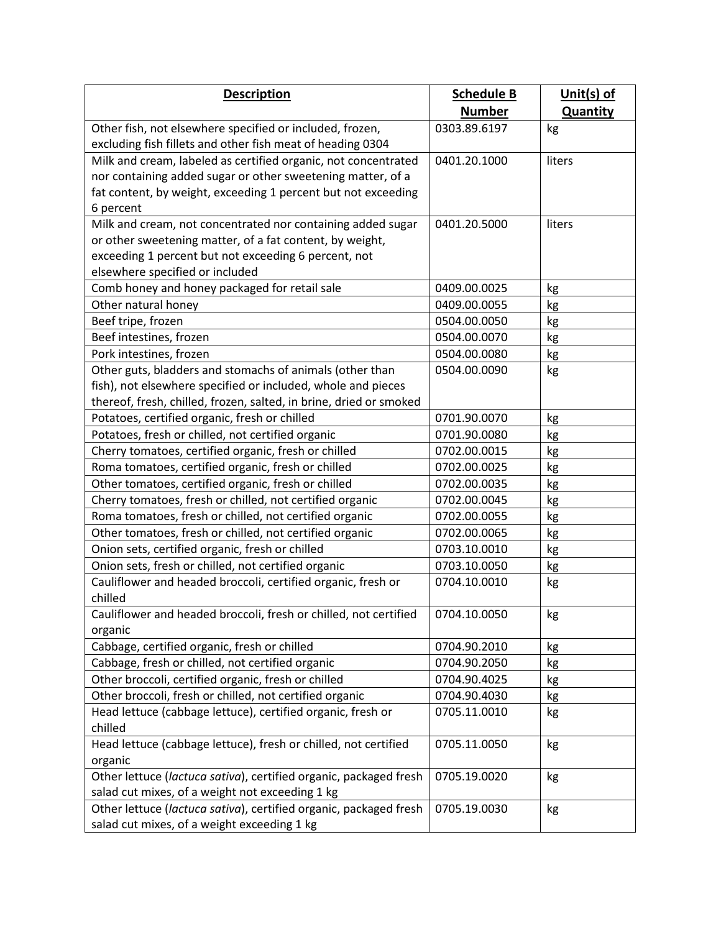| <b>Description</b>                                                 | <b>Schedule B</b> | Unit(s) of      |
|--------------------------------------------------------------------|-------------------|-----------------|
|                                                                    | <b>Number</b>     | <b>Quantity</b> |
| Other fish, not elsewhere specified or included, frozen,           | 0303.89.6197      | kg              |
| excluding fish fillets and other fish meat of heading 0304         |                   |                 |
| Milk and cream, labeled as certified organic, not concentrated     | 0401.20.1000      | liters          |
| nor containing added sugar or other sweetening matter, of a        |                   |                 |
| fat content, by weight, exceeding 1 percent but not exceeding      |                   |                 |
| 6 percent                                                          |                   |                 |
| Milk and cream, not concentrated nor containing added sugar        | 0401.20.5000      | liters          |
| or other sweetening matter, of a fat content, by weight,           |                   |                 |
| exceeding 1 percent but not exceeding 6 percent, not               |                   |                 |
| elsewhere specified or included                                    |                   |                 |
| Comb honey and honey packaged for retail sale                      | 0409.00.0025      | kg              |
| Other natural honey                                                | 0409.00.0055      | kg              |
| Beef tripe, frozen                                                 | 0504.00.0050      | kg              |
| Beef intestines, frozen                                            | 0504.00.0070      | kg              |
| Pork intestines, frozen                                            | 0504.00.0080      | kg              |
| Other guts, bladders and stomachs of animals (other than           | 0504.00.0090      | kg              |
| fish), not elsewhere specified or included, whole and pieces       |                   |                 |
| thereof, fresh, chilled, frozen, salted, in brine, dried or smoked |                   |                 |
| Potatoes, certified organic, fresh or chilled                      | 0701.90.0070      | kg              |
| Potatoes, fresh or chilled, not certified organic                  | 0701.90.0080      | kg              |
| Cherry tomatoes, certified organic, fresh or chilled               | 0702.00.0015      | kg              |
| Roma tomatoes, certified organic, fresh or chilled                 | 0702.00.0025      | kg              |
| Other tomatoes, certified organic, fresh or chilled                | 0702.00.0035      | kg              |
| Cherry tomatoes, fresh or chilled, not certified organic           | 0702.00.0045      | kg              |
| Roma tomatoes, fresh or chilled, not certified organic             | 0702.00.0055      | kg              |
| Other tomatoes, fresh or chilled, not certified organic            | 0702.00.0065      | kg              |
| Onion sets, certified organic, fresh or chilled                    | 0703.10.0010      | kg              |
| Onion sets, fresh or chilled, not certified organic                | 0703.10.0050      | kg              |
| Cauliflower and headed broccoli, certified organic, fresh or       | 0704.10.0010      | kg              |
| chilled                                                            |                   |                 |
| Cauliflower and headed broccoli, fresh or chilled, not certified   | 0704.10.0050      | kg              |
| organic                                                            |                   |                 |
| Cabbage, certified organic, fresh or chilled                       | 0704.90.2010      | kg              |
| Cabbage, fresh or chilled, not certified organic                   | 0704.90.2050      | kg              |
| Other broccoli, certified organic, fresh or chilled                | 0704.90.4025      | kg              |
| Other broccoli, fresh or chilled, not certified organic            | 0704.90.4030      | kg              |
| Head lettuce (cabbage lettuce), certified organic, fresh or        | 0705.11.0010      | kg              |
| chilled                                                            |                   |                 |
| Head lettuce (cabbage lettuce), fresh or chilled, not certified    | 0705.11.0050      | kg              |
| organic                                                            |                   |                 |
| Other lettuce (lactuca sativa), certified organic, packaged fresh  | 0705.19.0020      | kg              |
| salad cut mixes, of a weight not exceeding 1 kg                    |                   |                 |
| Other lettuce (lactuca sativa), certified organic, packaged fresh  | 0705.19.0030      | kg              |
| salad cut mixes, of a weight exceeding 1 kg                        |                   |                 |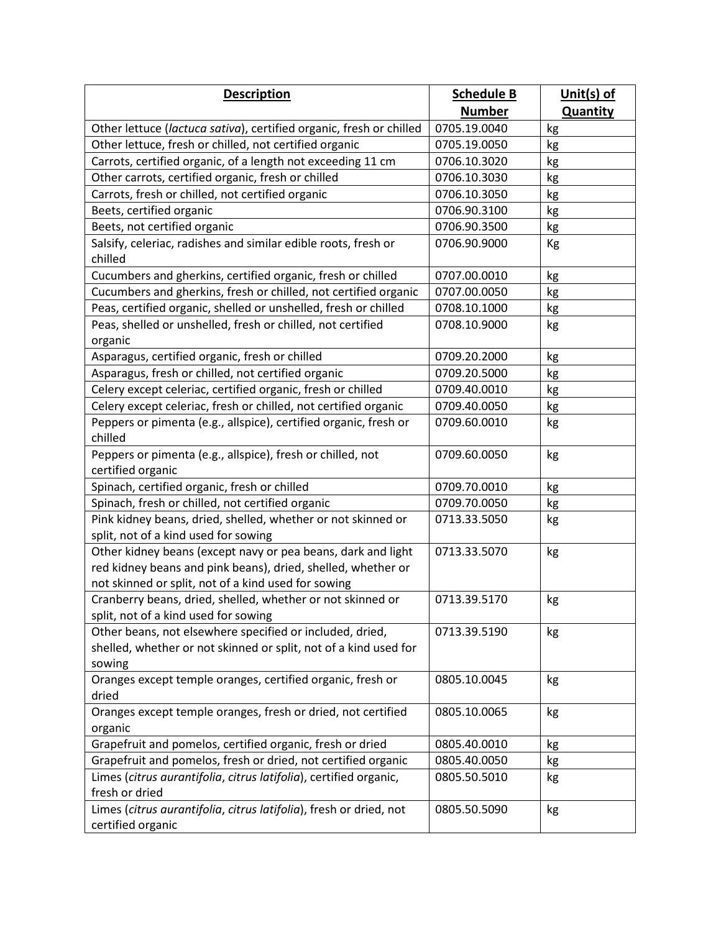| <b>Description</b>                                                   | <b>Schedule B</b> | Unit(s) of      |
|----------------------------------------------------------------------|-------------------|-----------------|
|                                                                      | <b>Number</b>     | <b>Quantity</b> |
| Other lettuce (lactuca sativa), certified organic, fresh or chilled  | 0705.19.0040      | kg              |
| Other lettuce, fresh or chilled, not certified organic               | 0705.19.0050      | kg              |
| Carrots, certified organic, of a length not exceeding 11 cm          | 0706.10.3020      | kg              |
| Other carrots, certified organic, fresh or chilled                   | 0706.10.3030      | kg              |
| Carrots, fresh or chilled, not certified organic                     | 0706.10.3050      | kg              |
| Beets, certified organic                                             | 0706.90.3100      | kg              |
| Beets, not certified organic                                         | 0706.90.3500      | kg              |
| Salsify, celeriac, radishes and similar edible roots, fresh or       | 0706.90.9000      | Kg              |
| chilled                                                              |                   |                 |
| Cucumbers and gherkins, certified organic, fresh or chilled          | 0707.00.0010      | kg              |
| Cucumbers and gherkins, fresh or chilled, not certified organic      | 0707.00.0050      | kg              |
| Peas, certified organic, shelled or unshelled, fresh or chilled      | 0708.10.1000      | kg              |
| Peas, shelled or unshelled, fresh or chilled, not certified          | 0708.10.9000      | kg              |
| organic                                                              |                   |                 |
| Asparagus, certified organic, fresh or chilled                       | 0709.20.2000      | kg              |
| Asparagus, fresh or chilled, not certified organic                   | 0709.20.5000      | kg              |
| Celery except celeriac, certified organic, fresh or chilled          | 0709.40.0010      | kg              |
| Celery except celeriac, fresh or chilled, not certified organic      | 0709.40.0050      | kg              |
| Peppers or pimenta (e.g., allspice), certified organic, fresh or     | 0709.60.0010      | kg              |
| chilled                                                              |                   |                 |
| Peppers or pimenta (e.g., allspice), fresh or chilled, not           | 0709.60.0050      | kg              |
| certified organic                                                    |                   |                 |
| Spinach, certified organic, fresh or chilled                         | 0709.70.0010      | kg              |
| Spinach, fresh or chilled, not certified organic                     | 0709.70.0050      | kg              |
| Pink kidney beans, dried, shelled, whether or not skinned or         | 0713.33.5050      | kg              |
| split, not of a kind used for sowing                                 |                   |                 |
| Other kidney beans (except navy or pea beans, dark and light         | 0713.33.5070      | kg              |
| red kidney beans and pink beans), dried, shelled, whether or         |                   |                 |
| not skinned or split, not of a kind used for sowing                  |                   |                 |
| Cranberry beans, dried, shelled, whether or not skinned or           | 0713.39.5170      | kg              |
| split, not of a kind used for sowing                                 |                   |                 |
| Other beans, not elsewhere specified or included, dried,             | 0713.39.5190      | kg              |
| shelled, whether or not skinned or split, not of a kind used for     |                   |                 |
| sowing                                                               |                   |                 |
| Oranges except temple oranges, certified organic, fresh or<br>dried  | 0805.10.0045      | kg              |
| Oranges except temple oranges, fresh or dried, not certified         | 0805.10.0065      |                 |
|                                                                      |                   | kg              |
| organic<br>Grapefruit and pomelos, certified organic, fresh or dried | 0805.40.0010      |                 |
| Grapefruit and pomelos, fresh or dried, not certified organic        | 0805.40.0050      | kg<br>kg        |
| Limes (citrus aurantifolia, citrus latifolia), certified organic,    | 0805.50.5010      | kg              |
| fresh or dried                                                       |                   |                 |
| Limes (citrus aurantifolia, citrus latifolia), fresh or dried, not   | 0805.50.5090      | kg              |
| certified organic                                                    |                   |                 |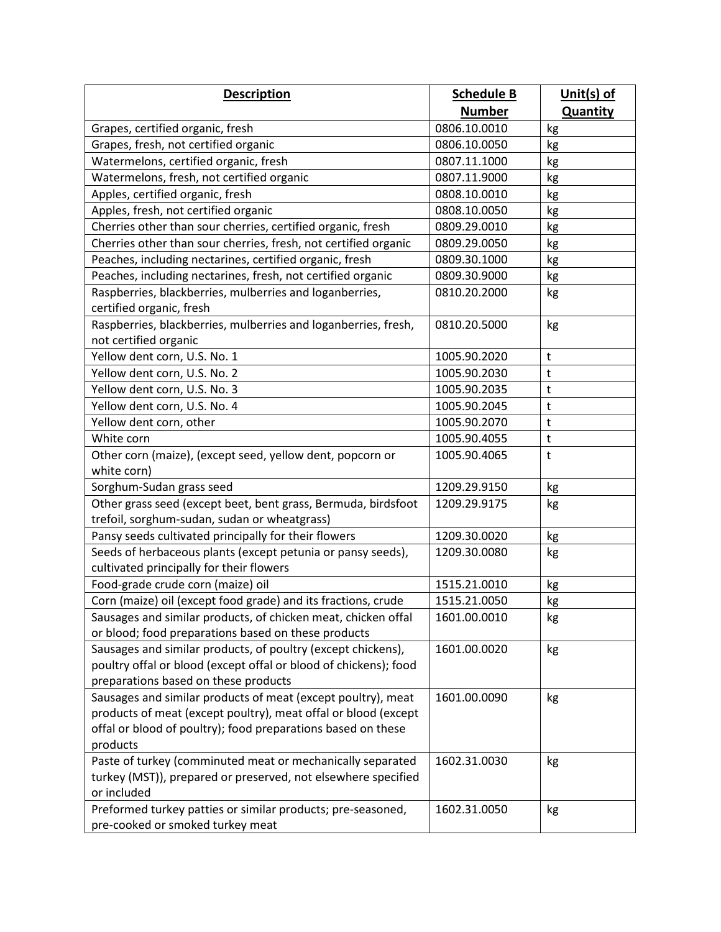| <b>Description</b>                                                           | <b>Schedule B</b> | Unit(s) of      |
|------------------------------------------------------------------------------|-------------------|-----------------|
|                                                                              | <b>Number</b>     | <b>Quantity</b> |
| Grapes, certified organic, fresh                                             | 0806.10.0010      | kg              |
| Grapes, fresh, not certified organic                                         | 0806.10.0050      | kg              |
| Watermelons, certified organic, fresh                                        | 0807.11.1000      | kg              |
| Watermelons, fresh, not certified organic                                    | 0807.11.9000      | kg              |
| Apples, certified organic, fresh                                             | 0808.10.0010      | kg              |
| Apples, fresh, not certified organic                                         | 0808.10.0050      | kg              |
| Cherries other than sour cherries, certified organic, fresh                  | 0809.29.0010      | kg              |
| Cherries other than sour cherries, fresh, not certified organic              | 0809.29.0050      | kg              |
| Peaches, including nectarines, certified organic, fresh                      | 0809.30.1000      | kg              |
| Peaches, including nectarines, fresh, not certified organic                  | 0809.30.9000      | kg              |
| Raspberries, blackberries, mulberries and loganberries,                      | 0810.20.2000      | kg              |
| certified organic, fresh                                                     |                   |                 |
| Raspberries, blackberries, mulberries and loganberries, fresh,               | 0810.20.5000      | kg              |
| not certified organic                                                        |                   |                 |
| Yellow dent corn, U.S. No. 1                                                 | 1005.90.2020      | $\sf t$         |
| Yellow dent corn, U.S. No. 2                                                 | 1005.90.2030      | $\mathsf{t}$    |
| Yellow dent corn, U.S. No. 3                                                 | 1005.90.2035      | t               |
| Yellow dent corn, U.S. No. 4                                                 | 1005.90.2045      | t               |
| Yellow dent corn, other                                                      | 1005.90.2070      | $\mathsf{t}$    |
| White corn                                                                   | 1005.90.4055      | t               |
| Other corn (maize), (except seed, yellow dent, popcorn or                    | 1005.90.4065      | t               |
| white corn)                                                                  |                   |                 |
| Sorghum-Sudan grass seed                                                     | 1209.29.9150      | kg              |
| Other grass seed (except beet, bent grass, Bermuda, birdsfoot                | 1209.29.9175      | kg              |
| trefoil, sorghum-sudan, sudan or wheatgrass)                                 |                   |                 |
| Pansy seeds cultivated principally for their flowers                         | 1209.30.0020      | kg              |
| Seeds of herbaceous plants (except petunia or pansy seeds),                  | 1209.30.0080      | kg              |
| cultivated principally for their flowers                                     |                   |                 |
| Food-grade crude corn (maize) oil                                            | 1515.21.0010      | kg              |
| Corn (maize) oil (except food grade) and its fractions, crude                | 1515.21.0050      | kg              |
| Sausages and similar products, of chicken meat, chicken offal                | 1601.00.0010      | kg              |
| or blood; food preparations based on these products                          |                   |                 |
| Sausages and similar products, of poultry (except chickens),                 | 1601.00.0020      | kg              |
| poultry offal or blood (except offal or blood of chickens); food             |                   |                 |
| preparations based on these products                                         |                   |                 |
| Sausages and similar products of meat (except poultry), meat                 | 1601.00.0090      | kg              |
| products of meat (except poultry), meat offal or blood (except               |                   |                 |
| offal or blood of poultry); food preparations based on these                 |                   |                 |
| products                                                                     |                   |                 |
| Paste of turkey (comminuted meat or mechanically separated                   | 1602.31.0030      | kg              |
| turkey (MST)), prepared or preserved, not elsewhere specified<br>or included |                   |                 |
| Preformed turkey patties or similar products; pre-seasoned,                  | 1602.31.0050      |                 |
| pre-cooked or smoked turkey meat                                             |                   | kg              |
|                                                                              |                   |                 |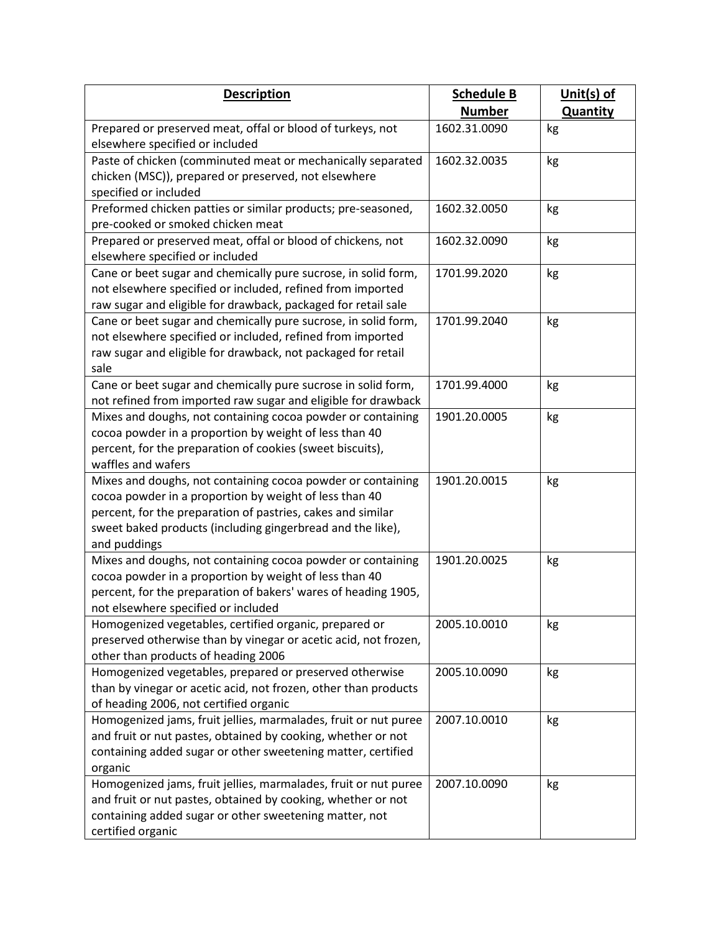| <b>Description</b>                                                                                                         | <b>Schedule B</b> | Unit(s) of      |
|----------------------------------------------------------------------------------------------------------------------------|-------------------|-----------------|
|                                                                                                                            | <b>Number</b>     | <b>Quantity</b> |
| Prepared or preserved meat, offal or blood of turkeys, not                                                                 | 1602.31.0090      | kg              |
| elsewhere specified or included                                                                                            |                   |                 |
| Paste of chicken (comminuted meat or mechanically separated                                                                | 1602.32.0035      | kg              |
| chicken (MSC)), prepared or preserved, not elsewhere<br>specified or included                                              |                   |                 |
| Preformed chicken patties or similar products; pre-seasoned,                                                               | 1602.32.0050      | kg              |
| pre-cooked or smoked chicken meat                                                                                          |                   |                 |
| Prepared or preserved meat, offal or blood of chickens, not                                                                | 1602.32.0090      | kg              |
| elsewhere specified or included                                                                                            |                   |                 |
| Cane or beet sugar and chemically pure sucrose, in solid form,                                                             | 1701.99.2020      | kg              |
| not elsewhere specified or included, refined from imported                                                                 |                   |                 |
| raw sugar and eligible for drawback, packaged for retail sale                                                              |                   |                 |
| Cane or beet sugar and chemically pure sucrose, in solid form,                                                             | 1701.99.2040      | kg              |
| not elsewhere specified or included, refined from imported<br>raw sugar and eligible for drawback, not packaged for retail |                   |                 |
| sale                                                                                                                       |                   |                 |
| Cane or beet sugar and chemically pure sucrose in solid form,                                                              | 1701.99.4000      | kg              |
| not refined from imported raw sugar and eligible for drawback                                                              |                   |                 |
| Mixes and doughs, not containing cocoa powder or containing                                                                | 1901.20.0005      | kg              |
| cocoa powder in a proportion by weight of less than 40                                                                     |                   |                 |
| percent, for the preparation of cookies (sweet biscuits),                                                                  |                   |                 |
| waffles and wafers                                                                                                         |                   |                 |
| Mixes and doughs, not containing cocoa powder or containing                                                                | 1901.20.0015      | kg              |
| cocoa powder in a proportion by weight of less than 40                                                                     |                   |                 |
| percent, for the preparation of pastries, cakes and similar<br>sweet baked products (including gingerbread and the like),  |                   |                 |
| and puddings                                                                                                               |                   |                 |
| Mixes and doughs, not containing cocoa powder or containing                                                                | 1901.20.0025      | kg              |
| cocoa powder in a proportion by weight of less than 40                                                                     |                   |                 |
| percent, for the preparation of bakers' wares of heading 1905,                                                             |                   |                 |
| not elsewhere specified or included                                                                                        |                   |                 |
| Homogenized vegetables, certified organic, prepared or                                                                     | 2005.10.0010      | kg              |
| preserved otherwise than by vinegar or acetic acid, not frozen,                                                            |                   |                 |
| other than products of heading 2006<br>Homogenized vegetables, prepared or preserved otherwise                             | 2005.10.0090      |                 |
| than by vinegar or acetic acid, not frozen, other than products                                                            |                   | kg              |
| of heading 2006, not certified organic                                                                                     |                   |                 |
| Homogenized jams, fruit jellies, marmalades, fruit or nut puree                                                            | 2007.10.0010      | kg              |
| and fruit or nut pastes, obtained by cooking, whether or not                                                               |                   |                 |
| containing added sugar or other sweetening matter, certified                                                               |                   |                 |
| organic                                                                                                                    |                   |                 |
| Homogenized jams, fruit jellies, marmalades, fruit or nut puree                                                            | 2007.10.0090      | kg              |
| and fruit or nut pastes, obtained by cooking, whether or not                                                               |                   |                 |
| containing added sugar or other sweetening matter, not                                                                     |                   |                 |
| certified organic                                                                                                          |                   |                 |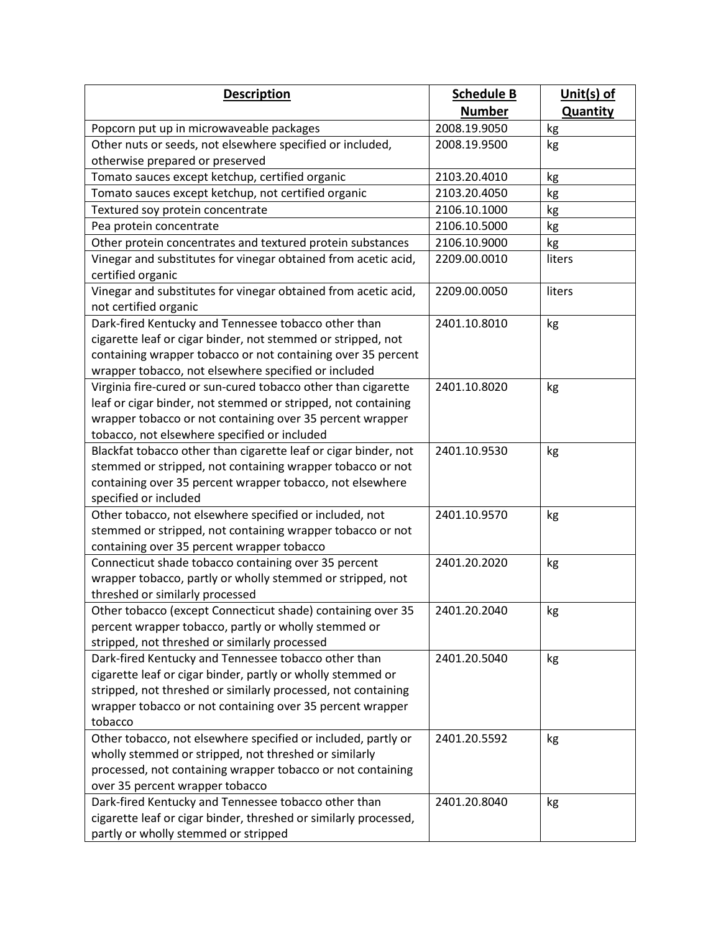| <b>Description</b>                                                                                                                                                                                                                                           | <b>Schedule B</b> | Unit(s) of      |
|--------------------------------------------------------------------------------------------------------------------------------------------------------------------------------------------------------------------------------------------------------------|-------------------|-----------------|
|                                                                                                                                                                                                                                                              | <b>Number</b>     | <b>Quantity</b> |
| Popcorn put up in microwaveable packages                                                                                                                                                                                                                     | 2008.19.9050      | kg              |
| Other nuts or seeds, not elsewhere specified or included,                                                                                                                                                                                                    | 2008.19.9500      | kg              |
| otherwise prepared or preserved                                                                                                                                                                                                                              |                   |                 |
| Tomato sauces except ketchup, certified organic                                                                                                                                                                                                              | 2103.20.4010      | kg              |
| Tomato sauces except ketchup, not certified organic                                                                                                                                                                                                          | 2103.20.4050      | kg              |
| Textured soy protein concentrate                                                                                                                                                                                                                             | 2106.10.1000      | kg              |
| Pea protein concentrate                                                                                                                                                                                                                                      | 2106.10.5000      | kg              |
| Other protein concentrates and textured protein substances                                                                                                                                                                                                   | 2106.10.9000      | kg              |
| Vinegar and substitutes for vinegar obtained from acetic acid,<br>certified organic                                                                                                                                                                          | 2209.00.0010      | liters          |
| Vinegar and substitutes for vinegar obtained from acetic acid,<br>not certified organic                                                                                                                                                                      | 2209.00.0050      | liters          |
| Dark-fired Kentucky and Tennessee tobacco other than<br>cigarette leaf or cigar binder, not stemmed or stripped, not<br>containing wrapper tobacco or not containing over 35 percent<br>wrapper tobacco, not elsewhere specified or included                 | 2401.10.8010      | kg              |
| Virginia fire-cured or sun-cured tobacco other than cigarette<br>leaf or cigar binder, not stemmed or stripped, not containing<br>wrapper tobacco or not containing over 35 percent wrapper<br>tobacco, not elsewhere specified or included                  | 2401.10.8020      | kg              |
| Blackfat tobacco other than cigarette leaf or cigar binder, not<br>stemmed or stripped, not containing wrapper tobacco or not<br>containing over 35 percent wrapper tobacco, not elsewhere<br>specified or included                                          | 2401.10.9530      | kg              |
| Other tobacco, not elsewhere specified or included, not<br>stemmed or stripped, not containing wrapper tobacco or not<br>containing over 35 percent wrapper tobacco                                                                                          | 2401.10.9570      | kg              |
| Connecticut shade tobacco containing over 35 percent<br>wrapper tobacco, partly or wholly stemmed or stripped, not<br>threshed or similarly processed                                                                                                        | 2401.20.2020      | kg              |
| Other tobacco (except Connecticut shade) containing over 35<br>percent wrapper tobacco, partly or wholly stemmed or<br>stripped, not threshed or similarly processed                                                                                         | 2401.20.2040      | kg              |
| Dark-fired Kentucky and Tennessee tobacco other than<br>cigarette leaf or cigar binder, partly or wholly stemmed or<br>stripped, not threshed or similarly processed, not containing<br>wrapper tobacco or not containing over 35 percent wrapper<br>tobacco | 2401.20.5040      | kg              |
| Other tobacco, not elsewhere specified or included, partly or<br>wholly stemmed or stripped, not threshed or similarly<br>processed, not containing wrapper tobacco or not containing<br>over 35 percent wrapper tobacco                                     | 2401.20.5592      | kg              |
| Dark-fired Kentucky and Tennessee tobacco other than<br>cigarette leaf or cigar binder, threshed or similarly processed,<br>partly or wholly stemmed or stripped                                                                                             | 2401.20.8040      | kg              |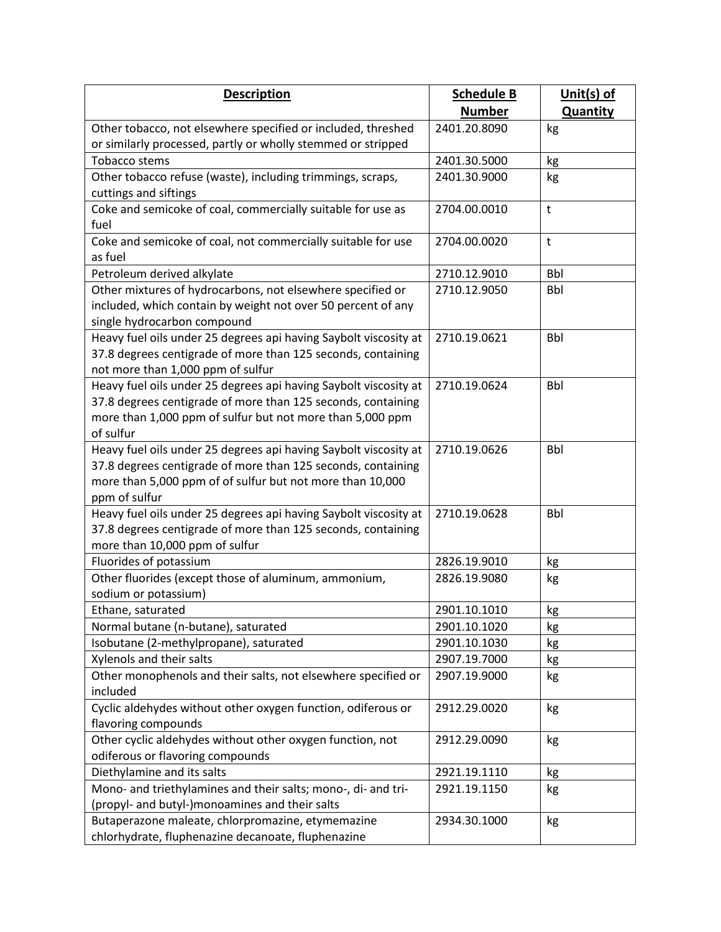| <b>Description</b>                                                                          | <b>Schedule B</b>            | Unit(s) of       |
|---------------------------------------------------------------------------------------------|------------------------------|------------------|
|                                                                                             | <b>Number</b>                | <b>Quantity</b>  |
| Other tobacco, not elsewhere specified or included, threshed                                | 2401.20.8090                 | kg               |
| or similarly processed, partly or wholly stemmed or stripped                                |                              |                  |
| <b>Tobacco stems</b>                                                                        | 2401.30.5000                 | kg               |
| Other tobacco refuse (waste), including trimmings, scraps,                                  | 2401.30.9000                 | kg               |
| cuttings and siftings                                                                       |                              |                  |
| Coke and semicoke of coal, commercially suitable for use as                                 | 2704.00.0010                 | t                |
| fuel                                                                                        |                              |                  |
| Coke and semicoke of coal, not commercially suitable for use                                | 2704.00.0020                 | t                |
| as fuel                                                                                     |                              |                  |
| Petroleum derived alkylate                                                                  | 2710.12.9010                 | <b>Bbl</b>       |
| Other mixtures of hydrocarbons, not elsewhere specified or                                  | 2710.12.9050                 | <b>Bbl</b>       |
| included, which contain by weight not over 50 percent of any<br>single hydrocarbon compound |                              |                  |
| Heavy fuel oils under 25 degrees api having Saybolt viscosity at                            | 2710.19.0621                 | <b>Bbl</b>       |
| 37.8 degrees centigrade of more than 125 seconds, containing                                |                              |                  |
| not more than 1,000 ppm of sulfur                                                           |                              |                  |
| Heavy fuel oils under 25 degrees api having Saybolt viscosity at                            | 2710.19.0624                 | <b>Bbl</b>       |
| 37.8 degrees centigrade of more than 125 seconds, containing                                |                              |                  |
| more than 1,000 ppm of sulfur but not more than 5,000 ppm                                   |                              |                  |
| of sulfur                                                                                   |                              |                  |
| Heavy fuel oils under 25 degrees api having Saybolt viscosity at                            | 2710.19.0626                 | <b>Bbl</b>       |
| 37.8 degrees centigrade of more than 125 seconds, containing                                |                              |                  |
| more than 5,000 ppm of of sulfur but not more than 10,000                                   |                              |                  |
| ppm of sulfur                                                                               |                              |                  |
| Heavy fuel oils under 25 degrees api having Saybolt viscosity at                            | 2710.19.0628                 | <b>Bbl</b>       |
| 37.8 degrees centigrade of more than 125 seconds, containing                                |                              |                  |
| more than 10,000 ppm of sulfur                                                              |                              |                  |
| Fluorides of potassium                                                                      | 2826.19.9010                 | kg               |
| Other fluorides (except those of aluminum, ammonium,                                        | 2826.19.9080                 | kg               |
| sodium or potassium)                                                                        |                              |                  |
| Ethane, saturated<br>Normal butane (n-butane), saturated                                    | 2901.10.1010<br>2901.10.1020 | $k\underline{g}$ |
| Isobutane (2-methylpropane), saturated                                                      | 2901.10.1030                 | kg               |
| Xylenols and their salts                                                                    | 2907.19.7000                 | kg<br>kg         |
| Other monophenols and their salts, not elsewhere specified or                               | 2907.19.9000                 | kg               |
| included                                                                                    |                              |                  |
| Cyclic aldehydes without other oxygen function, odiferous or                                | 2912.29.0020                 | kg               |
| flavoring compounds                                                                         |                              |                  |
| Other cyclic aldehydes without other oxygen function, not                                   | 2912.29.0090                 | kg               |
| odiferous or flavoring compounds                                                            |                              |                  |
| Diethylamine and its salts                                                                  | 2921.19.1110                 | kg               |
| Mono- and triethylamines and their salts; mono-, di- and tri-                               | 2921.19.1150                 | kg               |
| (propyl- and butyl-)monoamines and their salts                                              |                              |                  |
| Butaperazone maleate, chlorpromazine, etymemazine                                           | 2934.30.1000                 | kg               |
| chlorhydrate, fluphenazine decanoate, fluphenazine                                          |                              |                  |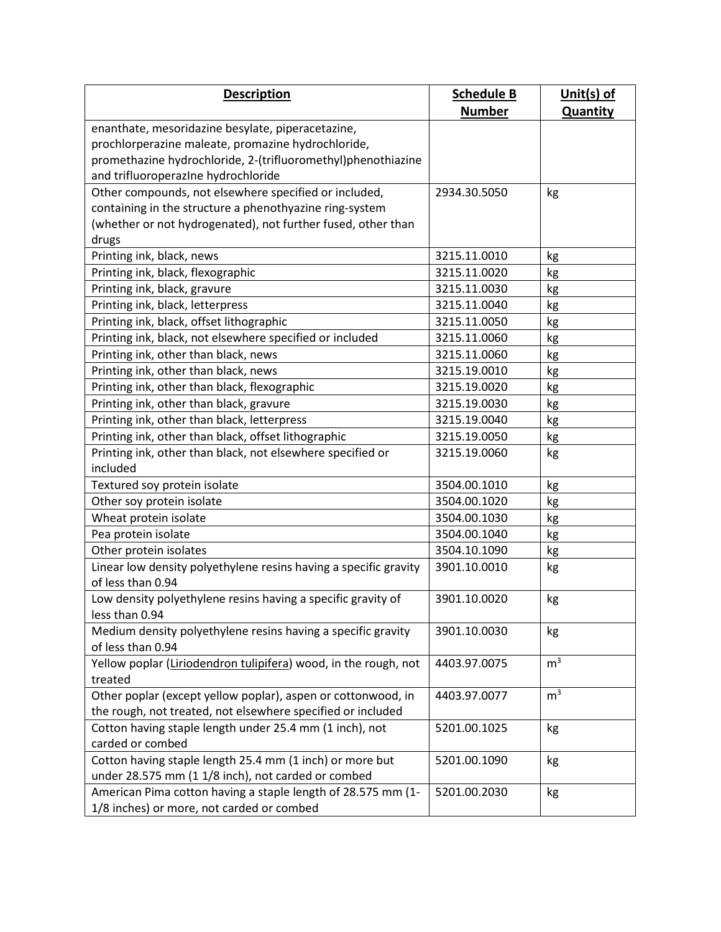| <b>Description</b>                                                                                                     | <b>Schedule B</b> | Unit(s) of      |
|------------------------------------------------------------------------------------------------------------------------|-------------------|-----------------|
|                                                                                                                        | <b>Number</b>     | <b>Quantity</b> |
| enanthate, mesoridazine besylate, piperacetazine,                                                                      |                   |                 |
| prochlorperazine maleate, promazine hydrochloride,                                                                     |                   |                 |
| promethazine hydrochloride, 2-(trifluoromethyl)phenothiazine                                                           |                   |                 |
| and trifluoroperazine hydrochloride                                                                                    |                   |                 |
| Other compounds, not elsewhere specified or included,                                                                  | 2934.30.5050      | kg              |
| containing in the structure a phenothyazine ring-system                                                                |                   |                 |
| (whether or not hydrogenated), not further fused, other than                                                           |                   |                 |
| drugs                                                                                                                  |                   |                 |
| Printing ink, black, news                                                                                              | 3215.11.0010      | kg              |
| Printing ink, black, flexographic                                                                                      | 3215.11.0020      | kg              |
| Printing ink, black, gravure                                                                                           | 3215.11.0030      | kg              |
| Printing ink, black, letterpress                                                                                       | 3215.11.0040      | kg              |
| Printing ink, black, offset lithographic                                                                               | 3215.11.0050      | kg              |
| Printing ink, black, not elsewhere specified or included                                                               | 3215.11.0060      | kg              |
| Printing ink, other than black, news                                                                                   | 3215.11.0060      | kg              |
| Printing ink, other than black, news                                                                                   | 3215.19.0010      | kg              |
| Printing ink, other than black, flexographic                                                                           | 3215.19.0020      | kg              |
| Printing ink, other than black, gravure                                                                                | 3215.19.0030      | kg              |
| Printing ink, other than black, letterpress                                                                            | 3215.19.0040      | kg              |
| Printing ink, other than black, offset lithographic                                                                    | 3215.19.0050      | kg              |
| Printing ink, other than black, not elsewhere specified or                                                             | 3215.19.0060      | kg              |
| included                                                                                                               |                   |                 |
| Textured soy protein isolate                                                                                           | 3504.00.1010      | kg              |
| Other soy protein isolate                                                                                              | 3504.00.1020      | kg              |
| Wheat protein isolate                                                                                                  | 3504.00.1030      | kg              |
| Pea protein isolate                                                                                                    | 3504.00.1040      | kg              |
| Other protein isolates                                                                                                 | 3504.10.1090      | kg              |
| Linear low density polyethylene resins having a specific gravity                                                       | 3901.10.0010      | kg              |
| of less than 0.94                                                                                                      |                   |                 |
| Low density polyethylene resins having a specific gravity of                                                           | 3901.10.0020      | kg              |
| less than 0.94                                                                                                         |                   |                 |
| Medium density polyethylene resins having a specific gravity                                                           | 3901.10.0030      | kg              |
| of less than 0.94                                                                                                      |                   |                 |
| Yellow poplar (Liriodendron tulipifera) wood, in the rough, not                                                        | 4403.97.0075      | m <sup>3</sup>  |
| treated                                                                                                                |                   | m <sup>3</sup>  |
| Other poplar (except yellow poplar), aspen or cottonwood, in                                                           | 4403.97.0077      |                 |
| the rough, not treated, not elsewhere specified or included<br>Cotton having staple length under 25.4 mm (1 inch), not | 5201.00.1025      | kg              |
| carded or combed                                                                                                       |                   |                 |
| Cotton having staple length 25.4 mm (1 inch) or more but                                                               | 5201.00.1090      | kg              |
| under 28.575 mm (1 1/8 inch), not carded or combed                                                                     |                   |                 |
| American Pima cotton having a staple length of 28.575 mm (1-                                                           | 5201.00.2030      | kg              |
| 1/8 inches) or more, not carded or combed                                                                              |                   |                 |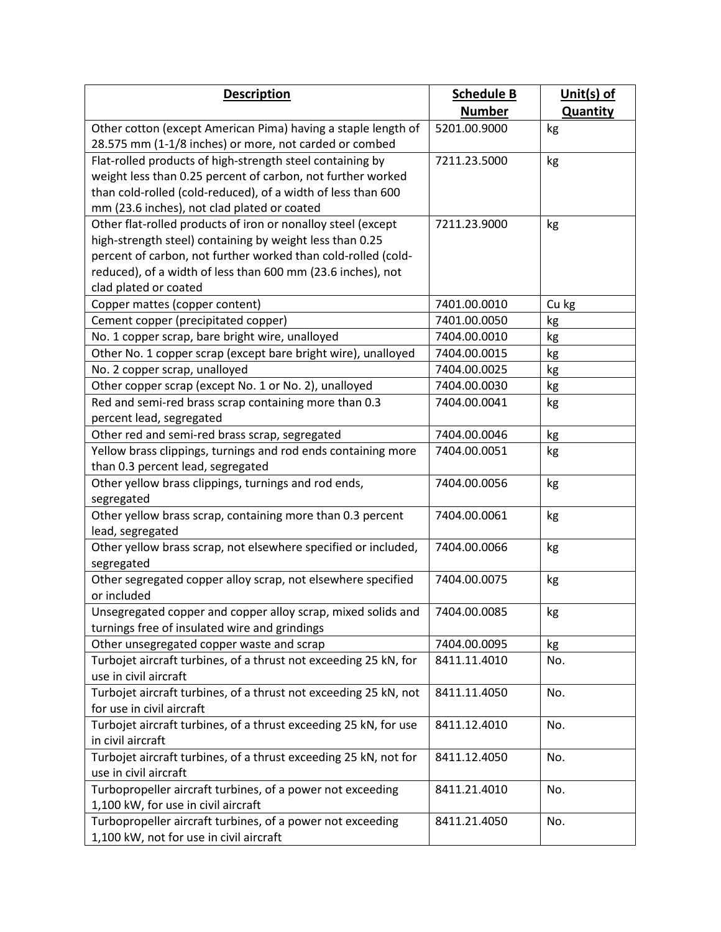| <b>Description</b>                                                          | <b>Schedule B</b> | Unit(s) of      |
|-----------------------------------------------------------------------------|-------------------|-----------------|
|                                                                             | <b>Number</b>     | <b>Quantity</b> |
| Other cotton (except American Pima) having a staple length of               | 5201.00.9000      | kg              |
| 28.575 mm (1-1/8 inches) or more, not carded or combed                      |                   |                 |
| Flat-rolled products of high-strength steel containing by                   | 7211.23.5000      | kg              |
| weight less than 0.25 percent of carbon, not further worked                 |                   |                 |
| than cold-rolled (cold-reduced), of a width of less than 600                |                   |                 |
| mm (23.6 inches), not clad plated or coated                                 |                   |                 |
| Other flat-rolled products of iron or nonalloy steel (except                | 7211.23.9000      | kg              |
| high-strength steel) containing by weight less than 0.25                    |                   |                 |
| percent of carbon, not further worked than cold-rolled (cold-               |                   |                 |
| reduced), of a width of less than 600 mm (23.6 inches), not                 |                   |                 |
| clad plated or coated                                                       |                   |                 |
| Copper mattes (copper content)                                              | 7401.00.0010      | Cu kg           |
| Cement copper (precipitated copper)                                         | 7401.00.0050      | kg              |
| No. 1 copper scrap, bare bright wire, unalloyed                             | 7404.00.0010      | kg              |
| Other No. 1 copper scrap (except bare bright wire), unalloyed               | 7404.00.0015      | kg              |
| No. 2 copper scrap, unalloyed                                               | 7404.00.0025      | kg              |
| Other copper scrap (except No. 1 or No. 2), unalloyed                       | 7404.00.0030      | kg              |
| Red and semi-red brass scrap containing more than 0.3                       | 7404.00.0041      | kg              |
| percent lead, segregated                                                    |                   |                 |
| Other red and semi-red brass scrap, segregated                              | 7404.00.0046      | kg              |
| Yellow brass clippings, turnings and rod ends containing more               | 7404.00.0051      | kg              |
| than 0.3 percent lead, segregated                                           |                   |                 |
| Other yellow brass clippings, turnings and rod ends,                        | 7404.00.0056      | kg              |
| segregated                                                                  |                   |                 |
| Other yellow brass scrap, containing more than 0.3 percent                  | 7404.00.0061      | kg              |
| lead, segregated                                                            |                   |                 |
| Other yellow brass scrap, not elsewhere specified or included,              | 7404.00.0066      | kg              |
| segregated                                                                  |                   |                 |
| Other segregated copper alloy scrap, not elsewhere specified                | 7404.00.0075      | kg              |
| or included                                                                 |                   |                 |
| Unsegregated copper and copper alloy scrap, mixed solids and   7404.00.0085 |                   | kg              |
| turnings free of insulated wire and grindings                               |                   |                 |
| Other unsegregated copper waste and scrap                                   | 7404.00.0095      | kg              |
| Turbojet aircraft turbines, of a thrust not exceeding 25 kN, for            | 8411.11.4010      | No.             |
| use in civil aircraft                                                       |                   |                 |
| Turbojet aircraft turbines, of a thrust not exceeding 25 kN, not            | 8411.11.4050      | No.             |
| for use in civil aircraft                                                   |                   |                 |
| Turbojet aircraft turbines, of a thrust exceeding 25 kN, for use            | 8411.12.4010      | No.             |
| in civil aircraft                                                           |                   |                 |
| Turbojet aircraft turbines, of a thrust exceeding 25 kN, not for            | 8411.12.4050      | No.             |
| use in civil aircraft                                                       |                   |                 |
| Turbopropeller aircraft turbines, of a power not exceeding                  | 8411.21.4010      | No.             |
| 1,100 kW, for use in civil aircraft                                         |                   |                 |
| Turbopropeller aircraft turbines, of a power not exceeding                  | 8411.21.4050      | No.             |
| 1,100 kW, not for use in civil aircraft                                     |                   |                 |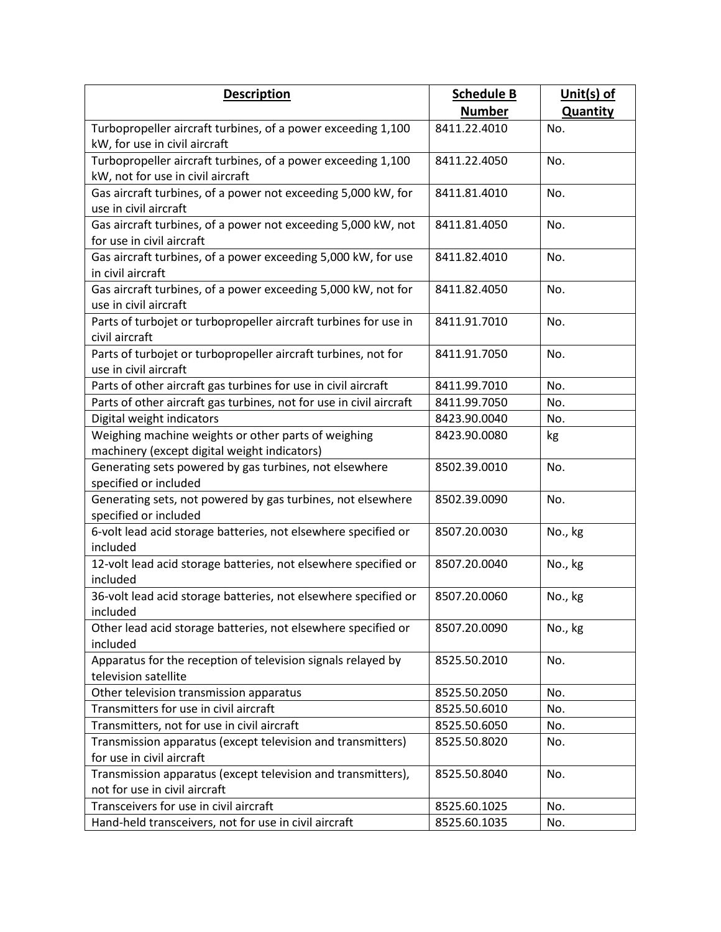| <b>Description</b>                                                          | <b>Schedule B</b> | Unit(s) of      |
|-----------------------------------------------------------------------------|-------------------|-----------------|
|                                                                             | <b>Number</b>     | <b>Quantity</b> |
| Turbopropeller aircraft turbines, of a power exceeding 1,100                | 8411.22.4010      | No.             |
| kW, for use in civil aircraft                                               |                   |                 |
| Turbopropeller aircraft turbines, of a power exceeding 1,100                | 8411.22.4050      | No.             |
| kW, not for use in civil aircraft                                           |                   |                 |
| Gas aircraft turbines, of a power not exceeding 5,000 kW, for               | 8411.81.4010      | No.             |
| use in civil aircraft                                                       |                   |                 |
| Gas aircraft turbines, of a power not exceeding 5,000 kW, not               | 8411.81.4050      | No.             |
| for use in civil aircraft                                                   |                   |                 |
| Gas aircraft turbines, of a power exceeding 5,000 kW, for use               | 8411.82.4010      | No.             |
| in civil aircraft                                                           |                   |                 |
| Gas aircraft turbines, of a power exceeding 5,000 kW, not for               | 8411.82.4050      | No.             |
| use in civil aircraft                                                       |                   |                 |
| Parts of turbojet or turbopropeller aircraft turbines for use in            | 8411.91.7010      | No.             |
| civil aircraft                                                              |                   |                 |
| Parts of turbojet or turbopropeller aircraft turbines, not for              | 8411.91.7050      | No.             |
| use in civil aircraft                                                       |                   |                 |
| Parts of other aircraft gas turbines for use in civil aircraft              | 8411.99.7010      | No.             |
| Parts of other aircraft gas turbines, not for use in civil aircraft         | 8411.99.7050      | No.             |
| Digital weight indicators                                                   | 8423.90.0040      | No.             |
| Weighing machine weights or other parts of weighing                         | 8423.90.0080      | kg              |
| machinery (except digital weight indicators)                                |                   |                 |
| Generating sets powered by gas turbines, not elsewhere                      | 8502.39.0010      | No.             |
| specified or included                                                       |                   |                 |
| Generating sets, not powered by gas turbines, not elsewhere                 | 8502.39.0090      | No.             |
| specified or included                                                       |                   |                 |
| 6-volt lead acid storage batteries, not elsewhere specified or              | 8507.20.0030      | No., kg         |
| included                                                                    |                   |                 |
| 12-volt lead acid storage batteries, not elsewhere specified or<br>included | 8507.20.0040      | No., kg         |
|                                                                             | 8507.20.0060      |                 |
| 36-volt lead acid storage batteries, not elsewhere specified or<br>included |                   | No., kg         |
| Other lead acid storage batteries, not elsewhere specified or               | 8507.20.0090      | No., kg         |
| included                                                                    |                   |                 |
| Apparatus for the reception of television signals relayed by                | 8525.50.2010      | No.             |
| television satellite                                                        |                   |                 |
| Other television transmission apparatus                                     | 8525.50.2050      | No.             |
| Transmitters for use in civil aircraft                                      | 8525.50.6010      | No.             |
| Transmitters, not for use in civil aircraft                                 | 8525.50.6050      | No.             |
| Transmission apparatus (except television and transmitters)                 | 8525.50.8020      | No.             |
| for use in civil aircraft                                                   |                   |                 |
| Transmission apparatus (except television and transmitters),                | 8525.50.8040      | No.             |
| not for use in civil aircraft                                               |                   |                 |
| Transceivers for use in civil aircraft                                      | 8525.60.1025      | No.             |
| Hand-held transceivers, not for use in civil aircraft                       | 8525.60.1035      | No.             |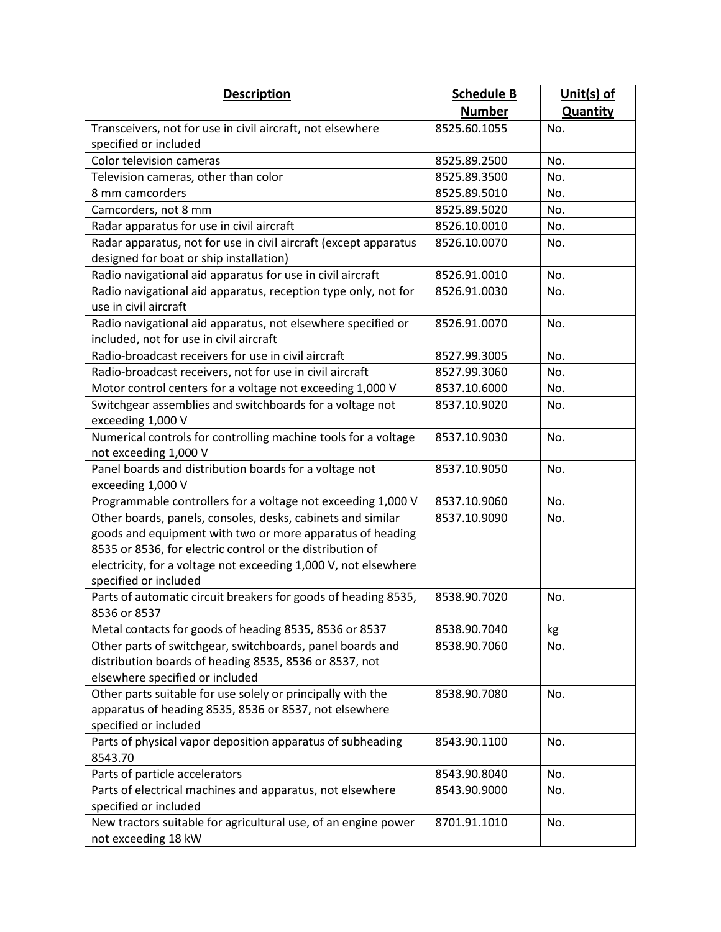| <b>Description</b>                                                                                                                                     | <b>Schedule B</b> | Unit $(s)$ of   |
|--------------------------------------------------------------------------------------------------------------------------------------------------------|-------------------|-----------------|
|                                                                                                                                                        | <b>Number</b>     | <b>Quantity</b> |
| Transceivers, not for use in civil aircraft, not elsewhere                                                                                             | 8525.60.1055      | No.             |
| specified or included                                                                                                                                  |                   |                 |
| Color television cameras                                                                                                                               | 8525.89.2500      | No.             |
| Television cameras, other than color                                                                                                                   | 8525.89.3500      | No.             |
| 8 mm camcorders                                                                                                                                        | 8525.89.5010      | No.             |
| Camcorders, not 8 mm                                                                                                                                   | 8525.89.5020      | No.             |
| Radar apparatus for use in civil aircraft                                                                                                              | 8526.10.0010      | No.             |
| Radar apparatus, not for use in civil aircraft (except apparatus                                                                                       | 8526.10.0070      | No.             |
| designed for boat or ship installation)                                                                                                                |                   |                 |
| Radio navigational aid apparatus for use in civil aircraft                                                                                             | 8526.91.0010      | No.             |
| Radio navigational aid apparatus, reception type only, not for<br>use in civil aircraft                                                                | 8526.91.0030      | No.             |
| Radio navigational aid apparatus, not elsewhere specified or<br>included, not for use in civil aircraft                                                | 8526.91.0070      | No.             |
| Radio-broadcast receivers for use in civil aircraft                                                                                                    | 8527.99.3005      | No.             |
| Radio-broadcast receivers, not for use in civil aircraft                                                                                               | 8527.99.3060      | No.             |
| Motor control centers for a voltage not exceeding 1,000 V                                                                                              | 8537.10.6000      | No.             |
| Switchgear assemblies and switchboards for a voltage not<br>exceeding 1,000 V                                                                          | 8537.10.9020      | No.             |
| Numerical controls for controlling machine tools for a voltage<br>not exceeding 1,000 V                                                                | 8537.10.9030      | No.             |
| Panel boards and distribution boards for a voltage not<br>exceeding 1,000 V                                                                            | 8537.10.9050      | No.             |
| Programmable controllers for a voltage not exceeding 1,000 V                                                                                           | 8537.10.9060      | No.             |
| Other boards, panels, consoles, desks, cabinets and similar                                                                                            | 8537.10.9090      | No.             |
| goods and equipment with two or more apparatus of heading                                                                                              |                   |                 |
| 8535 or 8536, for electric control or the distribution of                                                                                              |                   |                 |
| electricity, for a voltage not exceeding 1,000 V, not elsewhere                                                                                        |                   |                 |
| specified or included                                                                                                                                  | 8538.90.7020      | No.             |
| Parts of automatic circuit breakers for goods of heading 8535,<br>8536 or 8537                                                                         |                   |                 |
| Metal contacts for goods of heading 8535, 8536 or 8537                                                                                                 | 8538.90.7040      | kg              |
| Other parts of switchgear, switchboards, panel boards and<br>distribution boards of heading 8535, 8536 or 8537, not<br>elsewhere specified or included | 8538.90.7060      | No.             |
| Other parts suitable for use solely or principally with the                                                                                            | 8538.90.7080      | No.             |
| apparatus of heading 8535, 8536 or 8537, not elsewhere<br>specified or included                                                                        |                   |                 |
| Parts of physical vapor deposition apparatus of subheading<br>8543.70                                                                                  | 8543.90.1100      | No.             |
| Parts of particle accelerators                                                                                                                         | 8543.90.8040      | No.             |
| Parts of electrical machines and apparatus, not elsewhere<br>specified or included                                                                     | 8543.90.9000      | No.             |
| New tractors suitable for agricultural use, of an engine power<br>not exceeding 18 kW                                                                  | 8701.91.1010      | No.             |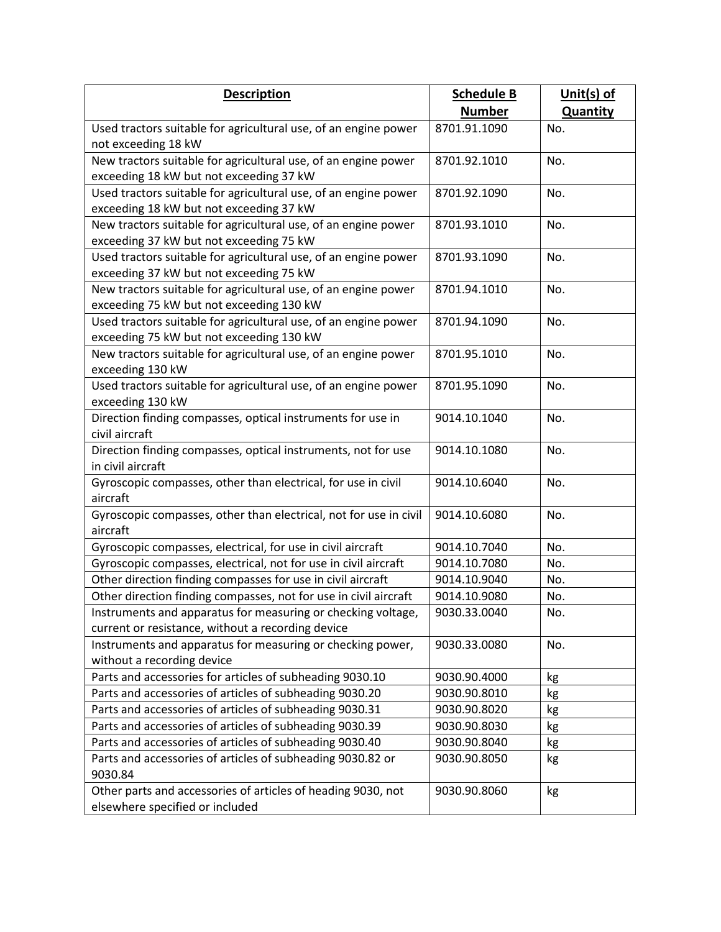| <b>Description</b>                                                              | <b>Schedule B</b> | Unit(s) of      |
|---------------------------------------------------------------------------------|-------------------|-----------------|
|                                                                                 | <b>Number</b>     | <b>Quantity</b> |
| Used tractors suitable for agricultural use, of an engine power                 | 8701.91.1090      | No.             |
| not exceeding 18 kW                                                             |                   |                 |
| New tractors suitable for agricultural use, of an engine power                  | 8701.92.1010      | No.             |
| exceeding 18 kW but not exceeding 37 kW                                         |                   |                 |
| Used tractors suitable for agricultural use, of an engine power                 | 8701.92.1090      | No.             |
| exceeding 18 kW but not exceeding 37 kW                                         |                   |                 |
| New tractors suitable for agricultural use, of an engine power                  | 8701.93.1010      | No.             |
| exceeding 37 kW but not exceeding 75 kW                                         |                   |                 |
| Used tractors suitable for agricultural use, of an engine power                 | 8701.93.1090      | No.             |
| exceeding 37 kW but not exceeding 75 kW                                         |                   |                 |
| New tractors suitable for agricultural use, of an engine power                  | 8701.94.1010      | No.             |
| exceeding 75 kW but not exceeding 130 kW                                        |                   |                 |
| Used tractors suitable for agricultural use, of an engine power                 | 8701.94.1090      | No.             |
| exceeding 75 kW but not exceeding 130 kW                                        |                   |                 |
| New tractors suitable for agricultural use, of an engine power                  | 8701.95.1010      | No.             |
| exceeding 130 kW                                                                |                   |                 |
| Used tractors suitable for agricultural use, of an engine power                 | 8701.95.1090      | No.             |
| exceeding 130 kW<br>Direction finding compasses, optical instruments for use in |                   |                 |
| civil aircraft                                                                  | 9014.10.1040      | No.             |
| Direction finding compasses, optical instruments, not for use                   | 9014.10.1080      | No.             |
| in civil aircraft                                                               |                   |                 |
| Gyroscopic compasses, other than electrical, for use in civil                   | 9014.10.6040      | No.             |
| aircraft                                                                        |                   |                 |
| Gyroscopic compasses, other than electrical, not for use in civil               | 9014.10.6080      | No.             |
| aircraft                                                                        |                   |                 |
| Gyroscopic compasses, electrical, for use in civil aircraft                     | 9014.10.7040      | No.             |
| Gyroscopic compasses, electrical, not for use in civil aircraft                 | 9014.10.7080      | No.             |
| Other direction finding compasses for use in civil aircraft                     | 9014.10.9040      | No.             |
| Other direction finding compasses, not for use in civil aircraft                | 9014.10.9080      | No.             |
| Instruments and apparatus for measuring or checking voltage,                    | 9030.33.0040      | No.             |
| current or resistance, without a recording device                               |                   |                 |
| Instruments and apparatus for measuring or checking power,                      | 9030.33.0080      | No.             |
| without a recording device                                                      |                   |                 |
| Parts and accessories for articles of subheading 9030.10                        | 9030.90.4000      | kg              |
| Parts and accessories of articles of subheading 9030.20                         | 9030.90.8010      | kg              |
| Parts and accessories of articles of subheading 9030.31                         | 9030.90.8020      | kg              |
| Parts and accessories of articles of subheading 9030.39                         | 9030.90.8030      | kg              |
| Parts and accessories of articles of subheading 9030.40                         | 9030.90.8040      | kg              |
| Parts and accessories of articles of subheading 9030.82 or                      | 9030.90.8050      | kg              |
| 9030.84                                                                         |                   |                 |
| Other parts and accessories of articles of heading 9030, not                    | 9030.90.8060      | kg              |
| elsewhere specified or included                                                 |                   |                 |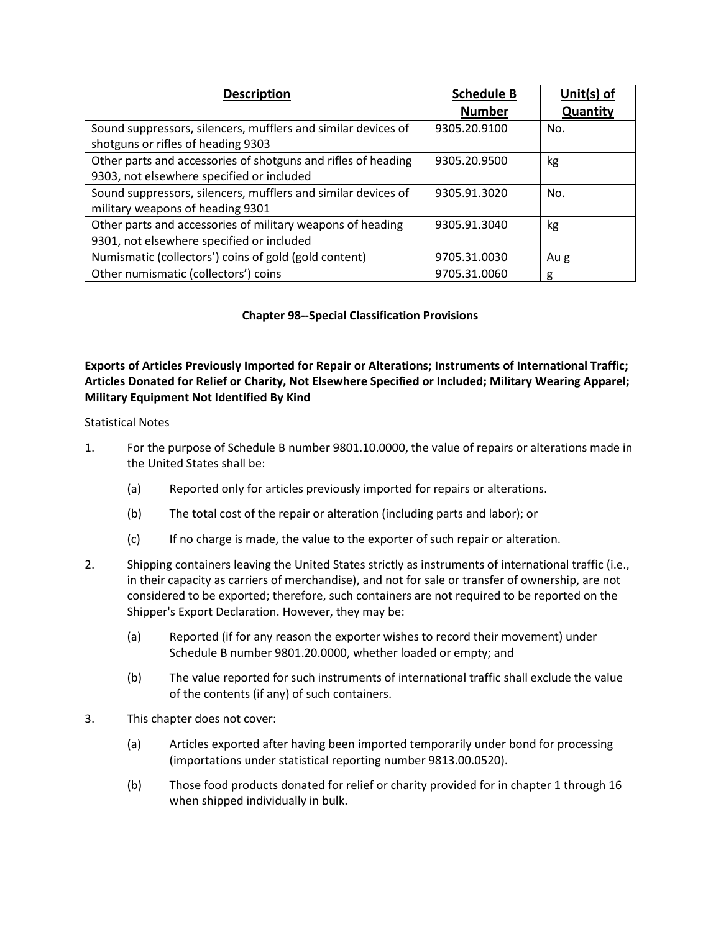| <b>Description</b>                                            | <b>Schedule B</b> | Unit $(s)$ of |
|---------------------------------------------------------------|-------------------|---------------|
|                                                               | <b>Number</b>     | Quantity      |
| Sound suppressors, silencers, mufflers and similar devices of | 9305.20.9100      | No.           |
| shotguns or rifles of heading 9303                            |                   |               |
| Other parts and accessories of shotguns and rifles of heading | 9305.20.9500      | kg            |
| 9303, not elsewhere specified or included                     |                   |               |
| Sound suppressors, silencers, mufflers and similar devices of | 9305.91.3020      | No.           |
| military weapons of heading 9301                              |                   |               |
| Other parts and accessories of military weapons of heading    | 9305.91.3040      | kg            |
| 9301, not elsewhere specified or included                     |                   |               |
| Numismatic (collectors') coins of gold (gold content)         | 9705.31.0030      | Au g          |
| Other numismatic (collectors') coins                          | 9705.31.0060      | g             |

## **Chapter 98--Special Classification Provisions**

## **Exports of Articles Previously Imported for Repair or Alterations; Instruments of International Traffic; Articles Donated for Relief or Charity, Not Elsewhere Specified or Included; Military Wearing Apparel; Military Equipment Not Identified By Kind**

## Statistical Notes

- 1. For the purpose of Schedule B number 9801.10.0000, the value of repairs or alterations made in the United States shall be:
	- (a) Reported only for articles previously imported for repairs or alterations.
	- (b) The total cost of the repair or alteration (including parts and labor); or
	- (c) If no charge is made, the value to the exporter of such repair or alteration.
- 2. Shipping containers leaving the United States strictly as instruments of international traffic (i.e., in their capacity as carriers of merchandise), and not for sale or transfer of ownership, are not considered to be exported; therefore, such containers are not required to be reported on the Shipper's Export Declaration. However, they may be:
	- (a) Reported (if for any reason the exporter wishes to record their movement) under Schedule B number 9801.20.0000, whether loaded or empty; and
	- (b) The value reported for such instruments of international traffic shall exclude the value of the contents (if any) of such containers.
- 3. This chapter does not cover:
	- (a) Articles exported after having been imported temporarily under bond for processing (importations under statistical reporting number 9813.00.0520).
	- (b) Those food products donated for relief or charity provided for in chapter 1 through 16 when shipped individually in bulk.